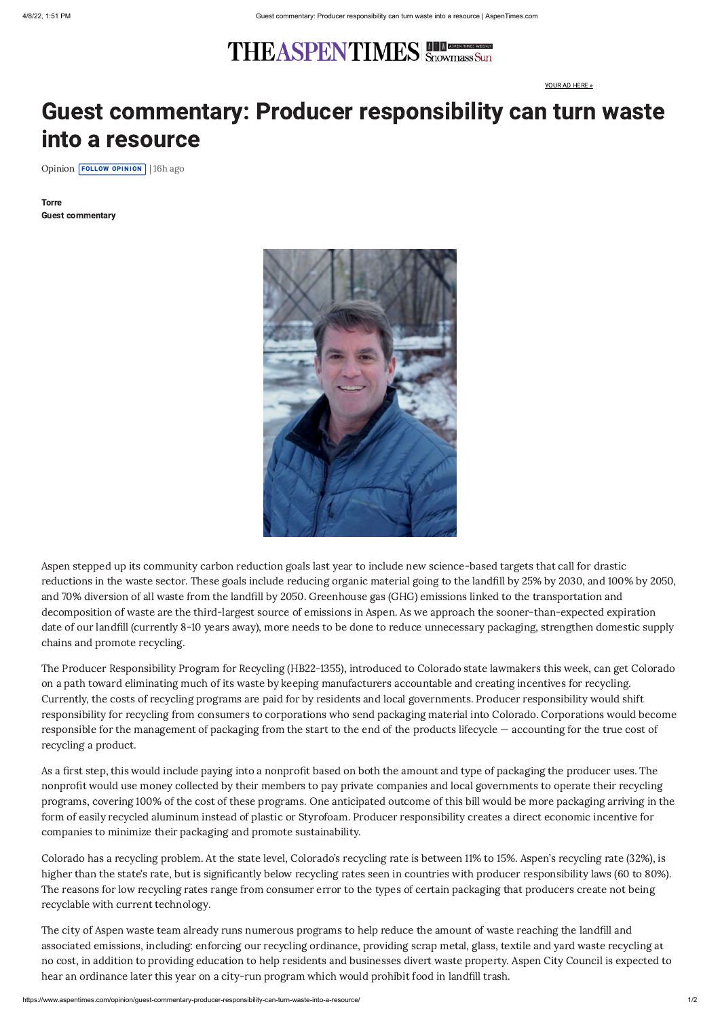## **THEASPENTIMES** Showmass Sun

## Guest commentary: Producer responsibility can turn waste into a resource

[Opinion](https://www.aspentimes.com/recent-stories/opinion) **FOLLOW OPINION** | 16h ago

Aspen stepped up its community carbon reduction goals last year to include new science-based targets that call for drastic reductions in the waste sector. These goals include reducing organic material going to the landfill by 25% by 2030, and 100% by 2050, and 70% diversion of all waste from the landfill by 2050. Greenhouse gas (GHG) emissions linked to the transportation and decomposition of waste are the third-largest source of emissions in Aspen. As we approach the sooner-than-expected expiration date of our landfill (currently 8-10 years away), more needs to be done to reduce unnecessary packaging, strengthen domestic supply chains and promote recycling.

The Producer Responsibility Program for Recycling (HB22-1355), introduced to Colorado state lawmakers this week, can get Colorado on a path toward eliminating much of its waste by keeping manufacturers accountable and creating incentives for recycling. Currently, the costs of recycling programs are paid for by residents and local governments. Producer responsibility would shift responsibility for recycling from consumers to corporations who send packaging material into Colorado. Corporations would become responsible for the management of packaging from the start to the end of the products lifecycle — accounting for the true cost of recycling a product.

As a first step, this would include paying into a nonprofit based on both the amount and type of packaging the producer uses. The nonprofit would use money collected by their members to pay private companies and local governments to operate their recycling programs, covering 100% of the cost of these programs. One anticipated outcome of this bill would be more packaging arriving in the form of easily recycled aluminum instead of plastic or Styrofoam. Producer responsibility creates a direct economic incentive for companies to minimize their packaging and promote sustainability.

Colorado has a recycling problem. At the state level, Colorado's recycling rate is between 11% to 15%. Aspen's recycling rate (32%), is higher than the state's rate, but is significantly below recycling rates seen in countries with producer responsibility laws (60 to 80%). The reasons for low recycling rates range from consumer error to the types of certain packaging that producers create not being recyclable with current technology.

The city of Aspen waste team already runs numerous programs to help reduce the amount of waste reaching the landfill and associated emissions, including: enforcing our recycling ordinance, providing scrap metal, glass, textile and yard waste recycling at no cost, in addition to providing education to help residents and businesses divert waste property. Aspen City Council is expected to hear an ordinance later this year on a city-run program which would prohibit food in landfill trash.

[YOUR](https://www.aspentimes.com/your-ad-here/) AD HERE »

Torre Guest commentary